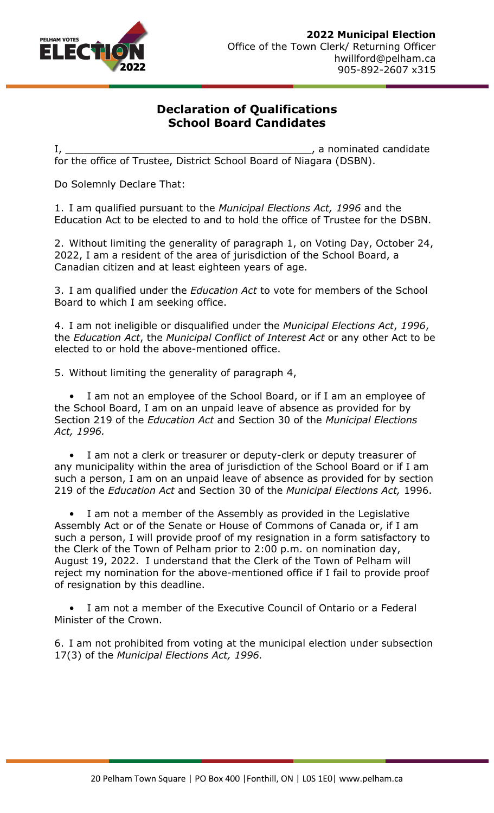

## **Declaration of Qualifications School Board Candidates**

I, \_\_\_\_\_\_\_\_\_\_\_\_\_\_\_\_\_\_\_\_\_\_\_\_\_\_\_\_\_\_\_\_\_\_\_\_\_\_\_\_, a nominated candidate for the office of Trustee, District School Board of Niagara (DSBN).

Do Solemnly Declare That:

1. I am qualified pursuant to the *Municipal Elections Act, 1996* and the Education Act to be elected to and to hold the office of Trustee for the DSBN.

2. Without limiting the generality of paragraph 1, on Voting Day, October 24, 2022, I am a resident of the area of jurisdiction of the School Board, a Canadian citizen and at least eighteen years of age.

3. I am qualified under the *Education Act* to vote for members of the School Board to which I am seeking office.

4. I am not ineligible or disqualified under the *Municipal Elections Act*, *1996*, the *Education Act*, the *Municipal Conflict of Interest Act* or any other Act to be elected to or hold the above-mentioned office.

5. Without limiting the generality of paragraph 4,

I am not an employee of the School Board, or if I am an employee of the School Board, I am on an unpaid leave of absence as provided for by Section 219 of the *Education Act* and Section 30 of the *Municipal Elections Act, 1996.*

I am not a clerk or treasurer or deputy-clerk or deputy treasurer of any municipality within the area of jurisdiction of the School Board or if I am such a person, I am on an unpaid leave of absence as provided for by section 219 of the *Education Act* and Section 30 of the *Municipal Elections Act,* 1996.

I am not a member of the Assembly as provided in the Legislative Assembly Act or of the Senate or House of Commons of Canada or, if I am such a person, I will provide proof of my resignation in a form satisfactory to the Clerk of the Town of Pelham prior to 2:00 p.m. on nomination day, August 19, 2022. I understand that the Clerk of the Town of Pelham will reject my nomination for the above-mentioned office if I fail to provide proof of resignation by this deadline.

I am not a member of the Executive Council of Ontario or a Federal Minister of the Crown.

6. I am not prohibited from voting at the municipal election under subsection 17(3) of the *Municipal Elections Act, 1996.*